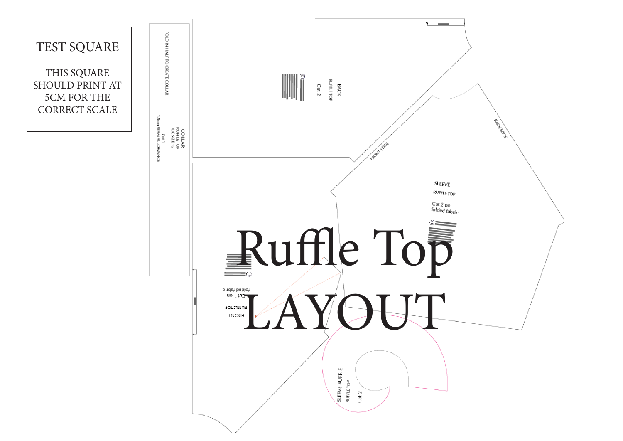

THIS SQUARE SHOULD PRINT AT 5CM FOR THE CORRECT SCALE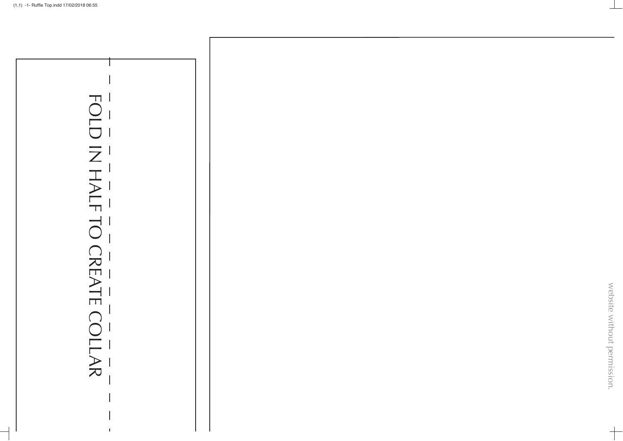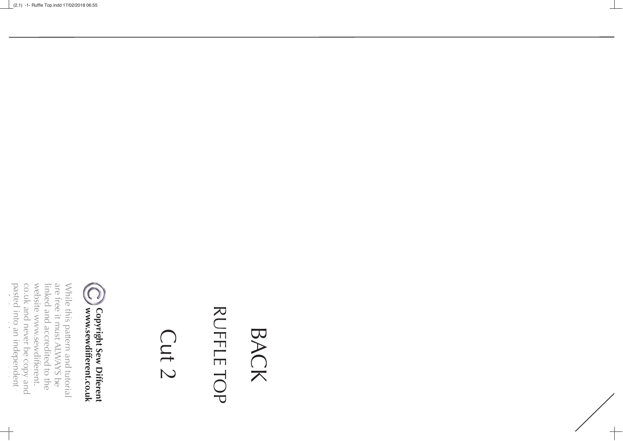website www.sewdifferent. linked and accredited to the are free it must ALWAYS be While this pattern and tutorial pasted into an independent co.uk and never be copy and website www.sewdifferent. linked and accredited to the are free it must ALWAYS be While this pattern and tutorial biih



# Cut 2

## BACK<br>RUFFLE TOP RUFFLE TOP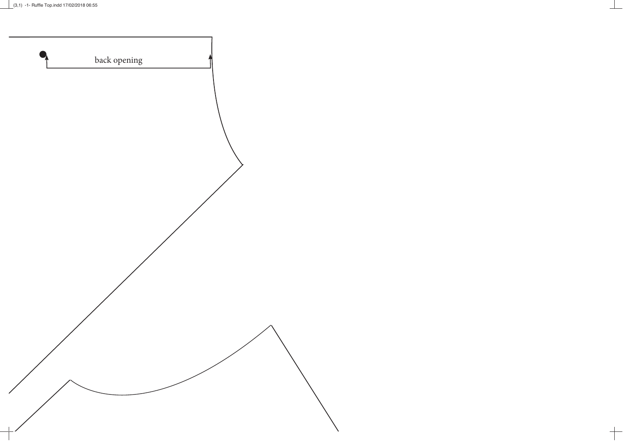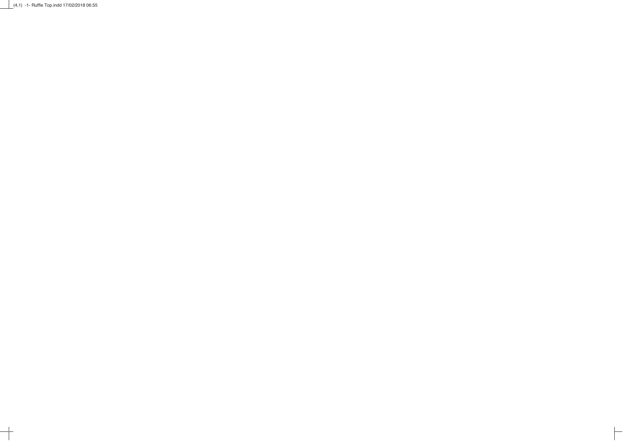$(4,1)$  -1- Ruffle Top.indd 17/02/2018 06:55

 $\overline{\phantom{a}}$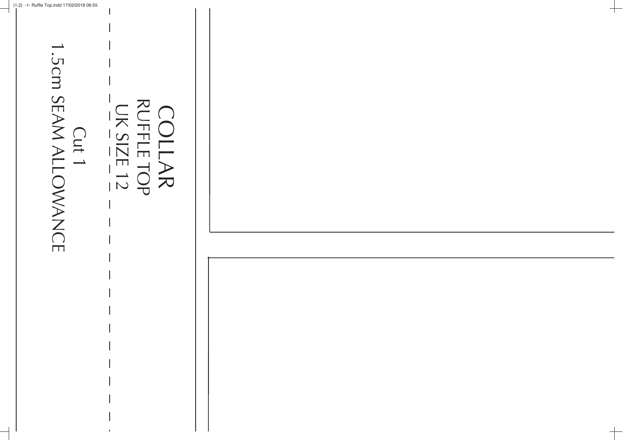| (1,2) -1- Ruffle Top.indd 17/02/2018 06:55 |                                                        |
|--------------------------------------------|--------------------------------------------------------|
| 1.5cm SEAM ALLOWANC<br>╓                   | $\geq$<br>$\frac{1}{\Box}$<br>$\overline{S}$<br>$\sum$ |

⊣

 $\overline{\phantom{0}}$ 

 $\frac{1}{1}$ 

 $\pm$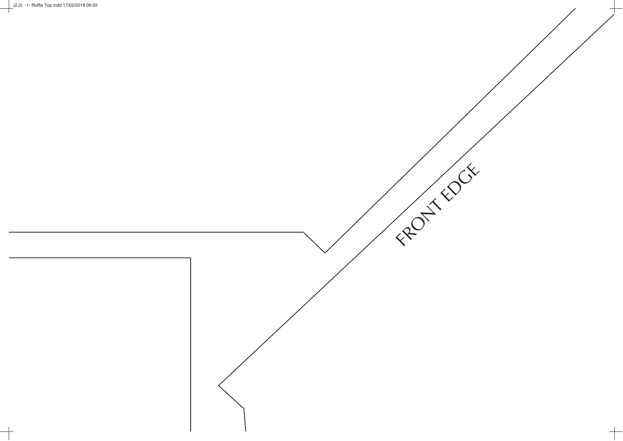$(2,2)$  -1- Ruffle Top.indd 17/02/2018 06:55

 $\overline{\phantom{0}}$ 

**FRONT EDGE** 

┱

 $+$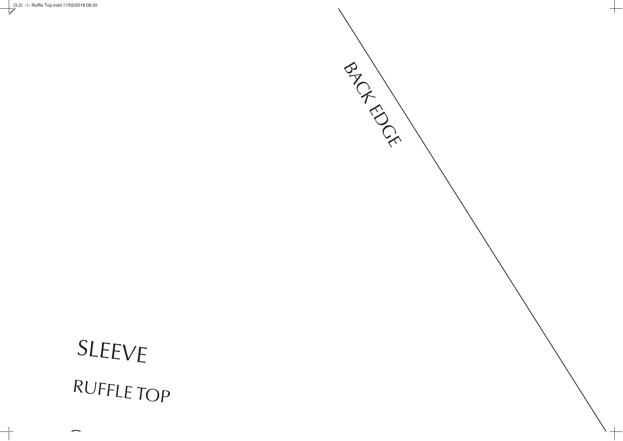BACK ER

 $\frac{1}{1}$ 

## SLEEVE RUFFLE TOP

 $\overline{a}$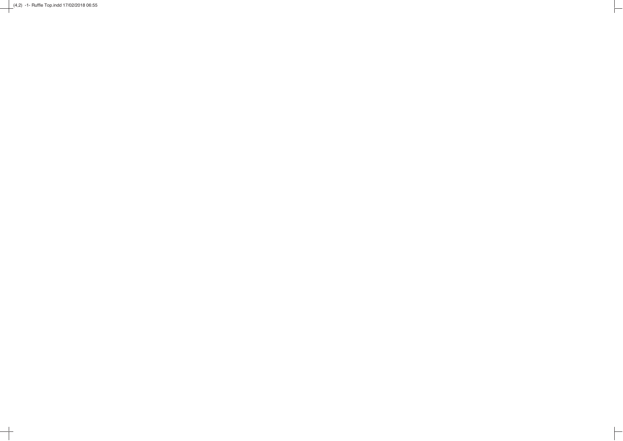$(4,2)$  -1- Ruffle Top.indd 17/02/2018 06:55

 $\begin{array}{c} \begin{array}{c} \begin{array}{c} \begin{array}{c} \end{array} \end{array} \end{array} \end{array} \end{array}$ 

 $\vdash$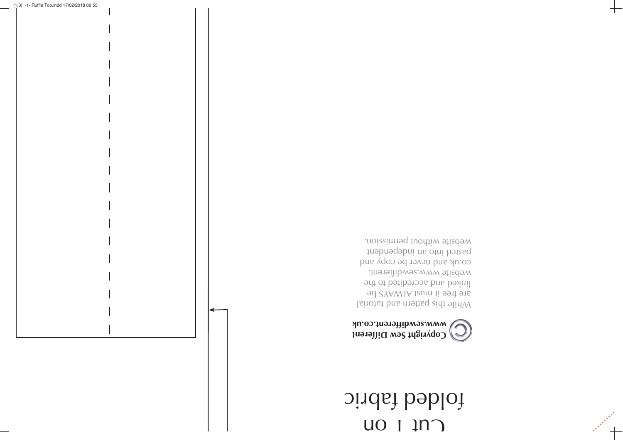### UO | 1N) folded fabric

#### **Copyright Sew Different www.sewdifferent.co.uk**

While this pattern and tutorial are free it must ALWAYS be linked and accredited to the website www.sewdifferent. co.uk and never be copy and pasted into payabon in a part of website without permission.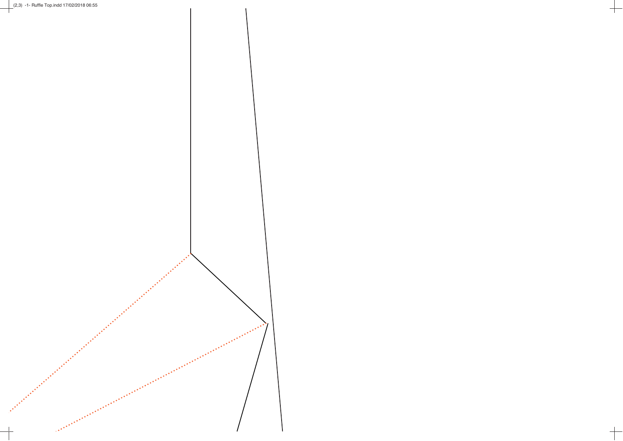and the second second second second second second second second second second second second second second second second second second second second second second second second second second second second second second seco Beech . Contract . Contract .

 $\frac{1}{1}$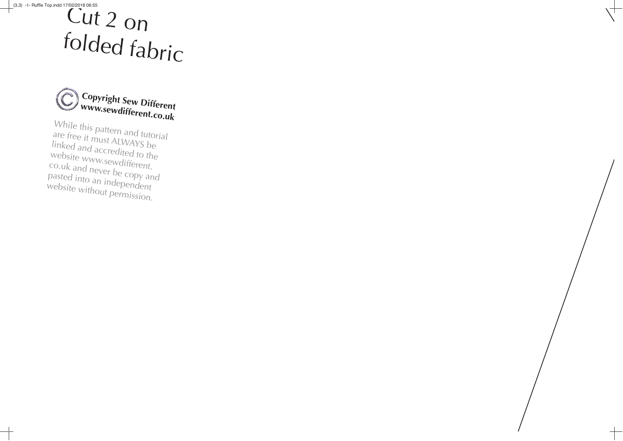$\widetilde{\mathrm{Cut}}$  2 on folded fabric (3,3) -1- Ruffle Top.indd 17/02/2018 06:55

 $\overline{\phantom{a}}$ 

 $\qquad \qquad +$ 

**Copyright Sew Different www.sewdifferent.co.uk**

While this pattern and tutorial are free it must ALWAYS be linked and accredited to the website www.sewdifferent. co.uk and never be copy and pasted into an independent website without permission.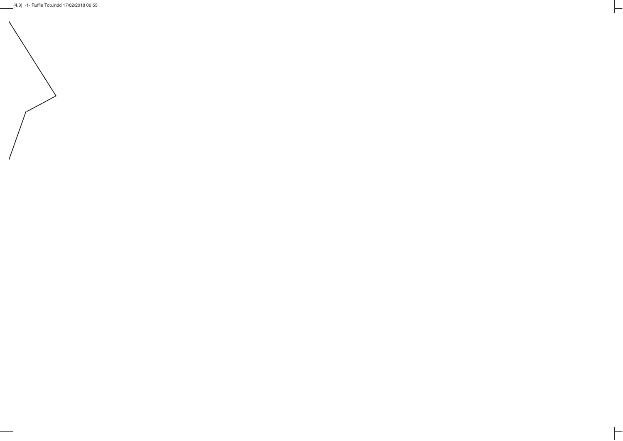$(4,3)$  -1- Ruffle Top.indd 17/02/2018 06:55

Ξ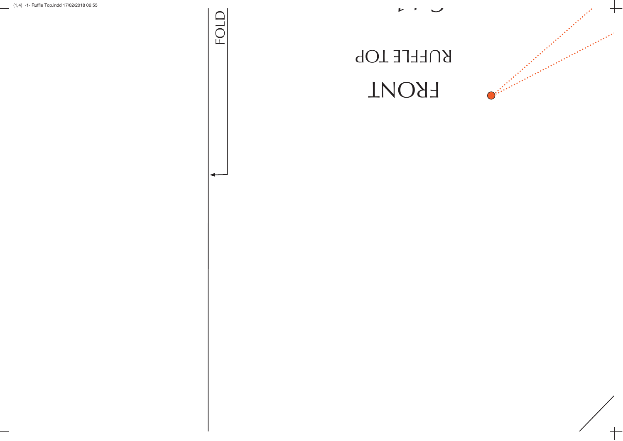┱

## FRONT RUFFLE TOP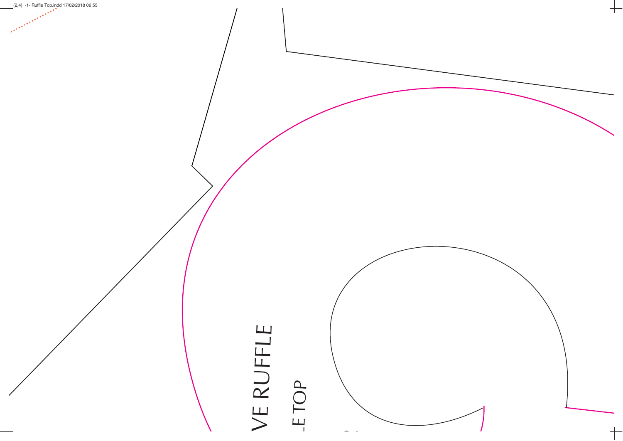

## VE RUFFLE VE RUFFLE

# LE TOP

2



 $\begin{array}{c} \begin{array}{c} \begin{array}{c} \begin{array}{c} \end{array} \end{array} \end{array} \end{array} \end{array}$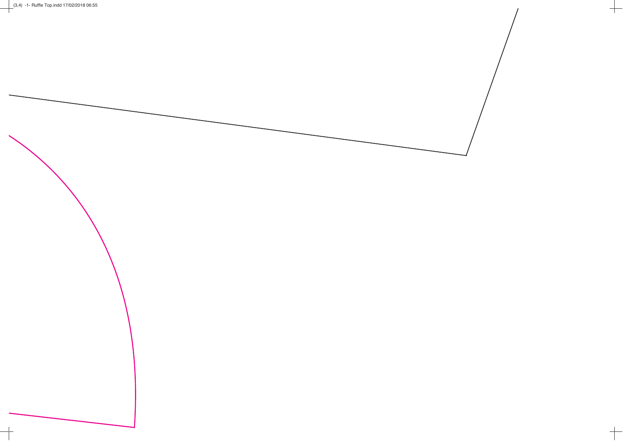$\frac{1}{\sqrt{2}}$ 

╅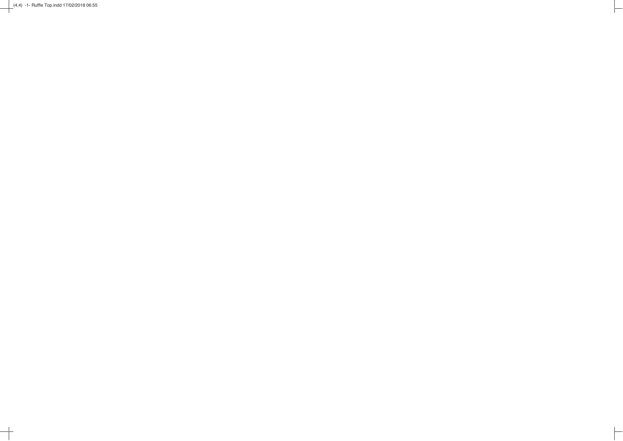$(4,4)$  -1- Ruffle Top.indd 17/02/2018 06:55

 $\begin{array}{c} \begin{array}{c} \begin{array}{c} \begin{array}{c} \end{array} \end{array} \end{array} \end{array} \end{array}$ 

 $\vdash$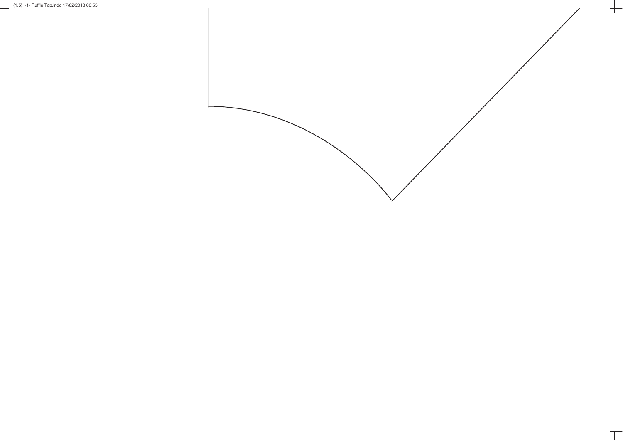

 $\frac{1}{1}$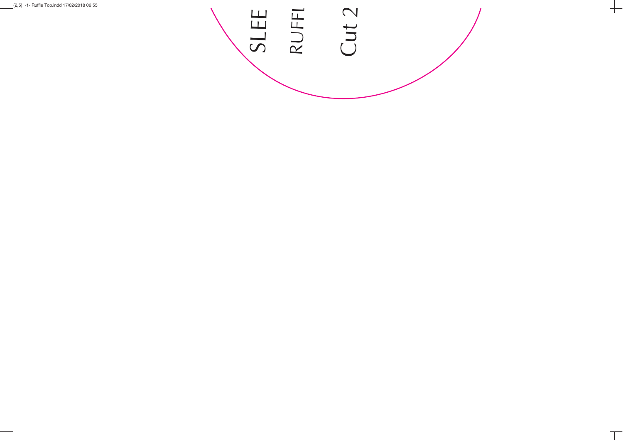### SLEE V RUFF RUFFI<br>Cut 2  $\mathcal{L}$

 $\frac{1}{1}$ 

 $\top$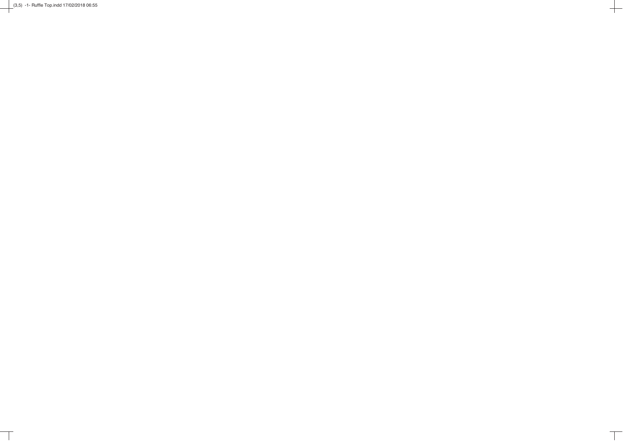$(3,5)$  -1- Ruffle Top.indd 17/02/2018 06:55

 $\top$ 

 $\frac{1}{1}$ 

 $\top$